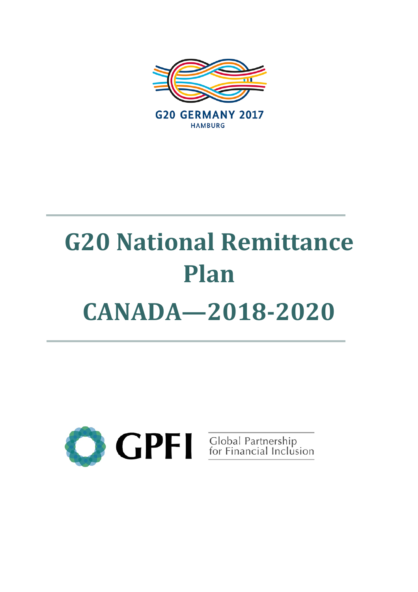

# **G20 National Remittance Plan CANADA—2018-2020**

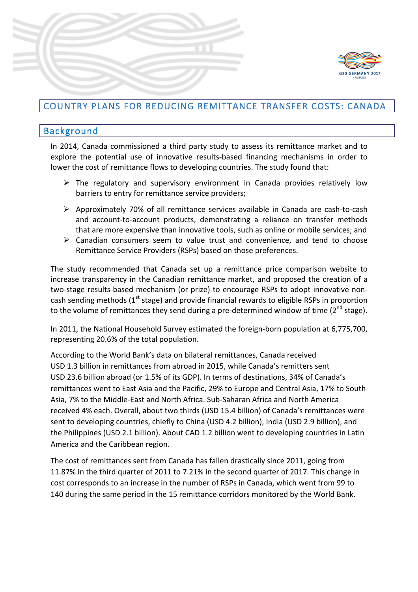

# COUNTRY PLANS FOR REDUCING REMITTANCE TRANSFER COSTS: CANADA

## Background

In 2014, Canada commissioned a third party study to assess its remittance market and to explore the potential use of innovative results-based financing mechanisms in order to lower the cost of remittance flows to developing countries. The study found that:

- $\triangleright$  The regulatory and supervisory environment in Canada provides relatively low barriers to entry for remittance service providers;
- $\triangleright$  Approximately 70% of all remittance services available in Canada are cash-to-cash and account-to-account products, demonstrating a reliance on transfer methods that are more expensive than innovative tools, such as online or mobile services; and
- $\triangleright$  Canadian consumers seem to value trust and convenience, and tend to choose Remittance Service Providers (RSPs) based on those preferences.

The study recommended that Canada set up a remittance price comparison website to increase transparency in the Canadian remittance market, and proposed the creation of a two-stage results-based mechanism (or prize) to encourage RSPs to adopt innovative noncash sending methods  $(1^{st}$  stage) and provide financial rewards to eligible RSPs in proportion to the volume of remittances they send during a pre-determined window of time  $(2^{nd}$  stage).

In 2011, the National Household Survey estimated the foreign-born population at 6,775,700, representing 20.6% of the total population.

According to the World Bank's data on bilateral remittances, Canada received USD 1.3 billion in remittances from abroad in 2015, while Canada's remitters sent USD 23.6 billion abroad (or 1.5% of its GDP). In terms of destinations, 34% of Canada's remittances went to East Asia and the Pacific, 29% to Europe and Central Asia, 17% to South Asia, 7% to the Middle-East and North Africa. Sub-Saharan Africa and North America received 4% each. Overall, about two thirds (USD 15.4 billion) of Canada's remittances were sent to developing countries, chiefly to China (USD 4.2 billion), India (USD 2.9 billion), and the Philippines (USD 2.1 billion). About CAD 1.2 billion went to developing countries in Latin America and the Caribbean region.

The cost of remittances sent from Canada has fallen drastically since 2011, going from 11.87% in the third quarter of 2011 to 7.21% in the second quarter of 2017. This change in cost corresponds to an increase in the number of RSPs in Canada, which went from 99 to 140 during the same period in the 15 remittance corridors monitored by the World Bank.